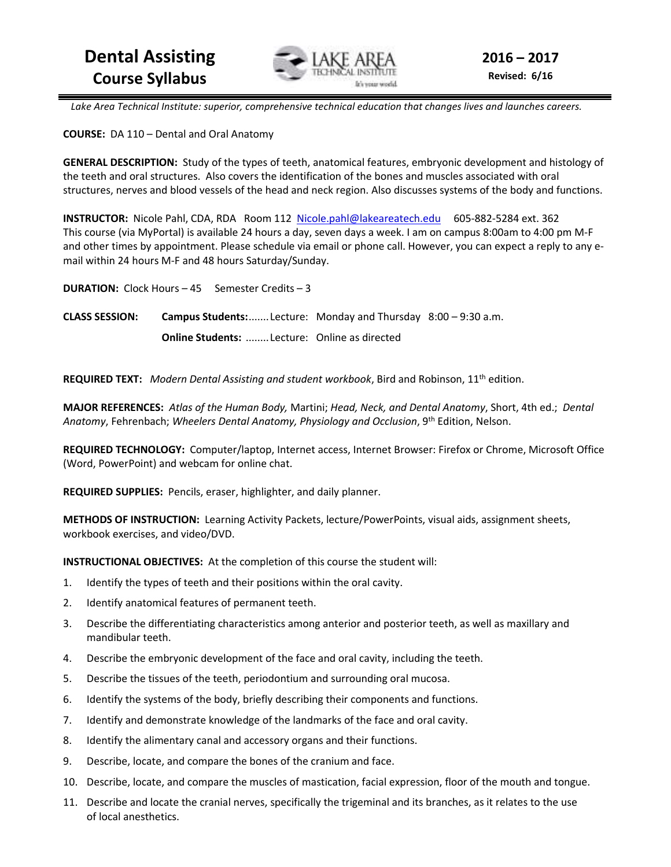

Lake Area Technical Institute: superior, comprehensive technical education that changes lives and launches careers.

**COURSE:** DA 110 – Dental and Oral Anatomy

**GENERAL DESCRIPTION:** Study of the types of teeth, anatomical features, embryonic development and histology of the teeth and oral structures. Also covers the identification of the bones and muscles associated with oral structures, nerves and blood vessels of the head and neck region. Also discusses systems of the body and functions.

**INSTRUCTOR:** Nicole Pahl, CDA, RDA Room 112 Nicole.pahl@lakeareatech.edu 605-882-5284 ext. 362 This course (via MyPortal) is available 24 hours a day, seven days a week. I am on campus 8:00am to 4:00 pm M-F and other times by appointment. Please schedule via email or phone call. However, you can expect a reply to any email within 24 hours M-F and 48 hours Saturday/Sunday.

**DURATION:** Clock Hours – 45 Semester Credits – 3 **CLASS SESSION: Campus Students:** ....... Lecture: Monday and Thursday 8:00 – 9:30 a.m. **Online Students:** ........ Lecture: Online as directed

**REQUIRED TEXT:** *Modern Dental Assisting and student workbook*, Bird and Robinson, 11th edition.

**MAJOR REFERENCES:** *Atlas of the Human Body,* Martini; *Head, Neck, and Dental Anatomy*, Short, 4th ed.; *Dental Anatomy*, Fehrenbach; *Wheelers Dental Anatomy, Physiology and Occlusion*, 9th Edition, Nelson.

**REQUIRED TECHNOLOGY:** Computer/laptop, Internet access, Internet Browser: Firefox or Chrome, Microsoft Office (Word, PowerPoint) and webcam for online chat.

**REQUIRED SUPPLIES:** Pencils, eraser, highlighter, and daily planner.

**METHODS OF INSTRUCTION:** Learning Activity Packets, lecture/PowerPoints, visual aids, assignment sheets, workbook exercises, and video/DVD.

**INSTRUCTIONAL OBJECTIVES:** At the completion of this course the student will:

- 1. Identify the types of teeth and their positions within the oral cavity.
- 2. Identify anatomical features of permanent teeth.
- 3. Describe the differentiating characteristics among anterior and posterior teeth, as well as maxillary and mandibular teeth.
- 4. Describe the embryonic development of the face and oral cavity, including the teeth.
- 5. Describe the tissues of the teeth, periodontium and surrounding oral mucosa.
- 6. Identify the systems of the body, briefly describing their components and functions.
- 7. Identify and demonstrate knowledge of the landmarks of the face and oral cavity.
- 8. Identify the alimentary canal and accessory organs and their functions.
- 9. Describe, locate, and compare the bones of the cranium and face.
- 10. Describe, locate, and compare the muscles of mastication, facial expression, floor of the mouth and tongue.
- 11. Describe and locate the cranial nerves, specifically the trigeminal and its branches, as it relates to the use of local anesthetics.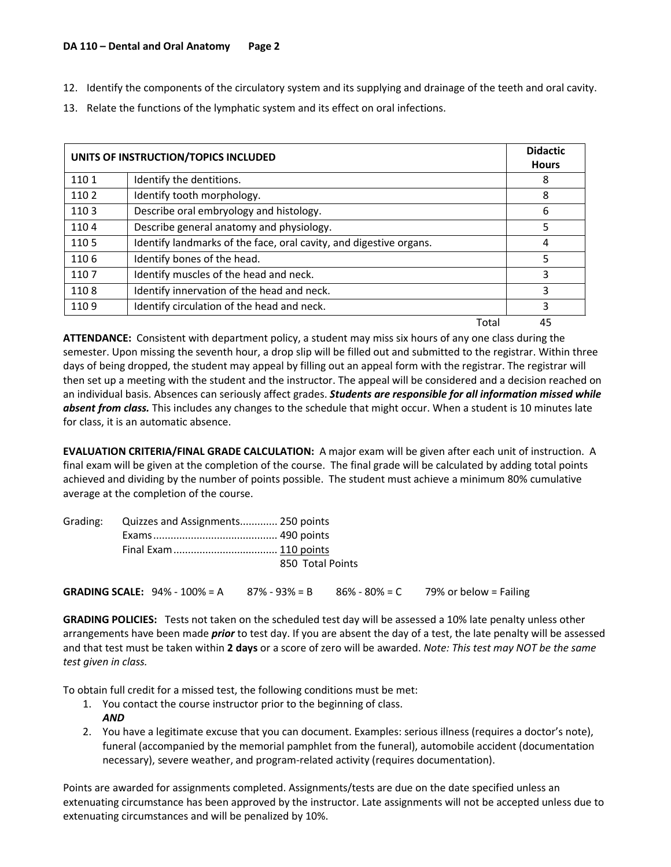- 12. Identify the components of the circulatory system and its supplying and drainage of the teeth and oral cavity.
- 13. Relate the functions of the lymphatic system and its effect on oral infections.

| UNITS OF INSTRUCTION/TOPICS INCLUDED |                                                                    |       | <b>Didactic</b><br><b>Hours</b> |
|--------------------------------------|--------------------------------------------------------------------|-------|---------------------------------|
| 1101                                 | Identify the dentitions.                                           |       | 8                               |
| 1102                                 | Identify tooth morphology.                                         |       | 8                               |
| 1103                                 | Describe oral embryology and histology.                            |       | 6                               |
| 1104                                 | Describe general anatomy and physiology.                           |       | 5                               |
| 1105                                 | Identify landmarks of the face, oral cavity, and digestive organs. |       | 4                               |
| 1106                                 | Identify bones of the head.                                        |       | 5                               |
| 1107                                 | Identify muscles of the head and neck.                             |       | 3                               |
| 1108                                 | Identify innervation of the head and neck.                         |       | 3                               |
| 1109                                 | Identify circulation of the head and neck.                         |       | 3                               |
|                                      |                                                                    | Total | 45                              |

**ATTENDANCE:** Consistent with department policy, a student may miss six hours of any one class during the semester. Upon missing the seventh hour, a drop slip will be filled out and submitted to the registrar. Within three days of being dropped, the student may appeal by filling out an appeal form with the registrar. The registrar will then set up a meeting with the student and the instructor. The appeal will be considered and a decision reached on an individual basis. Absences can seriously affect grades. *Students are responsible for all information missed while absent from class.* This includes any changes to the schedule that might occur. When a student is 10 minutes late for class, it is an automatic absence.

**EVALUATION CRITERIA/FINAL GRADE CALCULATION:** A major exam will be given after each unit of instruction. A final exam will be given at the completion of the course. The final grade will be calculated by adding total points achieved and dividing by the number of points possible. The student must achieve a minimum 80% cumulative average at the completion of the course.

| Grading: | Quizzes and Assignments 250 points                                                            |  |  |  |  |
|----------|-----------------------------------------------------------------------------------------------|--|--|--|--|
|          |                                                                                               |  |  |  |  |
|          |                                                                                               |  |  |  |  |
|          | 850 Total Points                                                                              |  |  |  |  |
|          | <b>GRADING SCALE:</b> 94% - 100% = A $87\%$ - 93% = B $86\%$ - 80% = C 79% or below = Failing |  |  |  |  |

**GRADING POLICIES:** Tests not taken on the scheduled test day will be assessed a 10% late penalty unless other arrangements have been made *prior* to test day. If you are absent the day of a test, the late penalty will be assessed and that test must be taken within **2 days** or a score of zero will be awarded. *Note: This test may NOT be the same test given in class.* 

To obtain full credit for a missed test, the following conditions must be met:

- 1. You contact the course instructor prior to the beginning of class. *AND*
- 2. You have a legitimate excuse that you can document. Examples: serious illness (requires a doctor's note), funeral (accompanied by the memorial pamphlet from the funeral), automobile accident (documentation necessary), severe weather, and program-related activity (requires documentation).

Points are awarded for assignments completed. Assignments/tests are due on the date specified unless an extenuating circumstance has been approved by the instructor. Late assignments will not be accepted unless due to extenuating circumstances and will be penalized by 10%.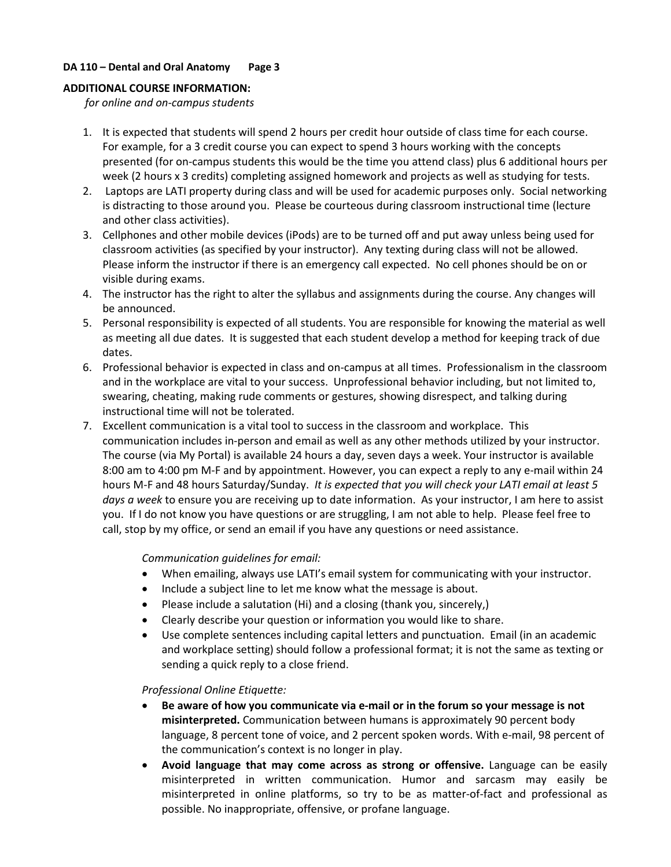# **DA 110 – Dental and Oral Anatomy Page 3**

## **ADDITIONAL COURSE INFORMATION:**

*for online and on-campus students* 

- 1. It is expected that students will spend 2 hours per credit hour outside of class time for each course. For example, for a 3 credit course you can expect to spend 3 hours working with the concepts presented (for on-campus students this would be the time you attend class) plus 6 additional hours per week (2 hours x 3 credits) completing assigned homework and projects as well as studying for tests.
- 2. Laptops are LATI property during class and will be used for academic purposes only. Social networking is distracting to those around you. Please be courteous during classroom instructional time (lecture and other class activities).
- 3. Cellphones and other mobile devices (iPods) are to be turned off and put away unless being used for classroom activities (as specified by your instructor). Any texting during class will not be allowed. Please inform the instructor if there is an emergency call expected. No cell phones should be on or visible during exams.
- 4. The instructor has the right to alter the syllabus and assignments during the course. Any changes will be announced.
- 5. Personal responsibility is expected of all students. You are responsible for knowing the material as well as meeting all due dates. It is suggested that each student develop a method for keeping track of due dates.
- 6. Professional behavior is expected in class and on-campus at all times. Professionalism in the classroom and in the workplace are vital to your success. Unprofessional behavior including, but not limited to, swearing, cheating, making rude comments or gestures, showing disrespect, and talking during instructional time will not be tolerated.
- 7. Excellent communication is a vital tool to success in the classroom and workplace. This communication includes in-person and email as well as any other methods utilized by your instructor. The course (via My Portal) is available 24 hours a day, seven days a week. Your instructor is available 8:00 am to 4:00 pm M-F and by appointment. However, you can expect a reply to any e-mail within 24 hours M-F and 48 hours Saturday/Sunday. *It is expected that you will check your LATI email at least 5 days a week* to ensure you are receiving up to date information. As your instructor, I am here to assist you. If I do not know you have questions or are struggling, I am not able to help. Please feel free to call, stop by my office, or send an email if you have any questions or need assistance.

*Communication guidelines for email:* 

- When emailing, always use LATI's email system for communicating with your instructor.
- Include a subject line to let me know what the message is about.
- Please include a salutation (Hi) and a closing (thank you, sincerely,)
- Clearly describe your question or information you would like to share.
- Use complete sentences including capital letters and punctuation. Email (in an academic and workplace setting) should follow a professional format; it is not the same as texting or sending a quick reply to a close friend.

# *Professional Online Etiquette:*

- **Be aware of how you communicate via e-mail or in the forum so your message is not misinterpreted.** Communication between humans is approximately 90 percent body language, 8 percent tone of voice, and 2 percent spoken words. With e-mail, 98 percent of the communication's context is no longer in play.
- **Avoid language that may come across as strong or offensive.** Language can be easily misinterpreted in written communication. Humor and sarcasm may easily be misinterpreted in online platforms, so try to be as matter-of-fact and professional as possible. No inappropriate, offensive, or profane language.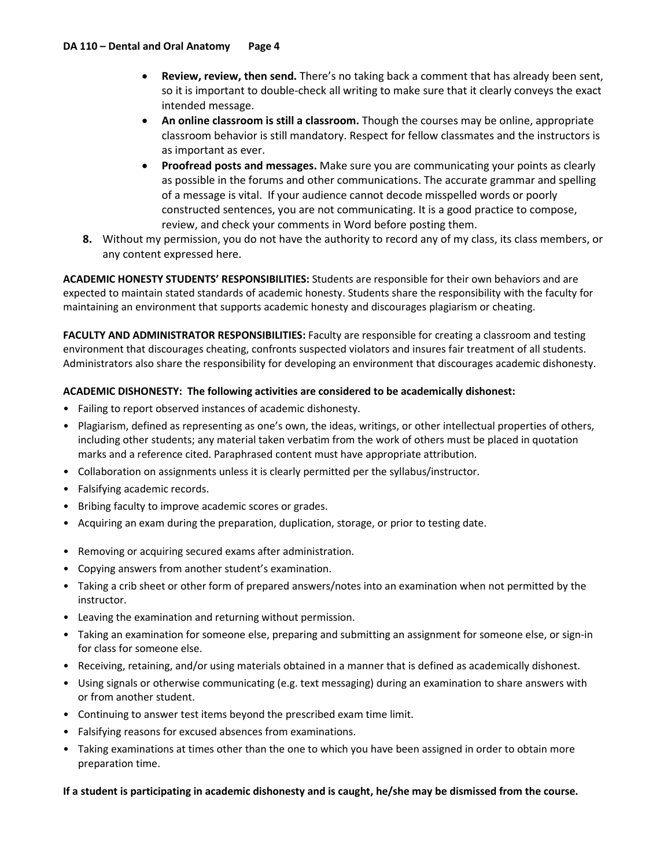- **Review, review, then send.** There's no taking back a comment that has already been sent, so it is important to double-check all writing to make sure that it clearly conveys the exact intended message.
- **An online classroom is still a classroom.** Though the courses may be online, appropriate classroom behavior is still mandatory. Respect for fellow classmates and the instructors is as important as ever.
- **Proofread posts and messages.** Make sure you are communicating your points as clearly as possible in the forums and other communications. The accurate grammar and spelling of a message is vital. If your audience cannot decode misspelled words or poorly constructed sentences, you are not communicating. It is a good practice to compose, review, and check your comments in Word before posting them.
- **8.** Without my permission, you do not have the authority to record any of my class, its class members, or any content expressed here.

**ACADEMIC HONESTY STUDENTS' RESPONSIBILITIES:** Students are responsible for their own behaviors and are expected to maintain stated standards of academic honesty. Students share the responsibility with the faculty for maintaining an environment that supports academic honesty and discourages plagiarism or cheating.

**FACULTY AND ADMINISTRATOR RESPONSIBILITIES:** Faculty are responsible for creating a classroom and testing environment that discourages cheating, confronts suspected violators and insures fair treatment of all students. Administrators also share the responsibility for developing an environment that discourages academic dishonesty.

## **ACADEMIC DISHONESTY: The following activities are considered to be academically dishonest:**

- Failing to report observed instances of academic dishonesty.
- Plagiarism, defined as representing as one's own, the ideas, writings, or other intellectual properties of others, including other students; any material taken verbatim from the work of others must be placed in quotation marks and a reference cited. Paraphrased content must have appropriate attribution.
- Collaboration on assignments unless it is clearly permitted per the syllabus/instructor.
- Falsifying academic records.
- Bribing faculty to improve academic scores or grades.
- Acquiring an exam during the preparation, duplication, storage, or prior to testing date.
- Removing or acquiring secured exams after administration.
- Copying answers from another student's examination.
- Taking a crib sheet or other form of prepared answers/notes into an examination when not permitted by the instructor.
- Leaving the examination and returning without permission.
- Taking an examination for someone else, preparing and submitting an assignment for someone else, or sign-in for class for someone else.
- Receiving, retaining, and/or using materials obtained in a manner that is defined as academically dishonest.
- Using signals or otherwise communicating (e.g. text messaging) during an examination to share answers with or from another student.
- Continuing to answer test items beyond the prescribed exam time limit.
- Falsifying reasons for excused absences from examinations.
- Taking examinations at times other than the one to which you have been assigned in order to obtain more preparation time.

#### **If a student is participating in academic dishonesty and is caught, he/she may be dismissed from the course.**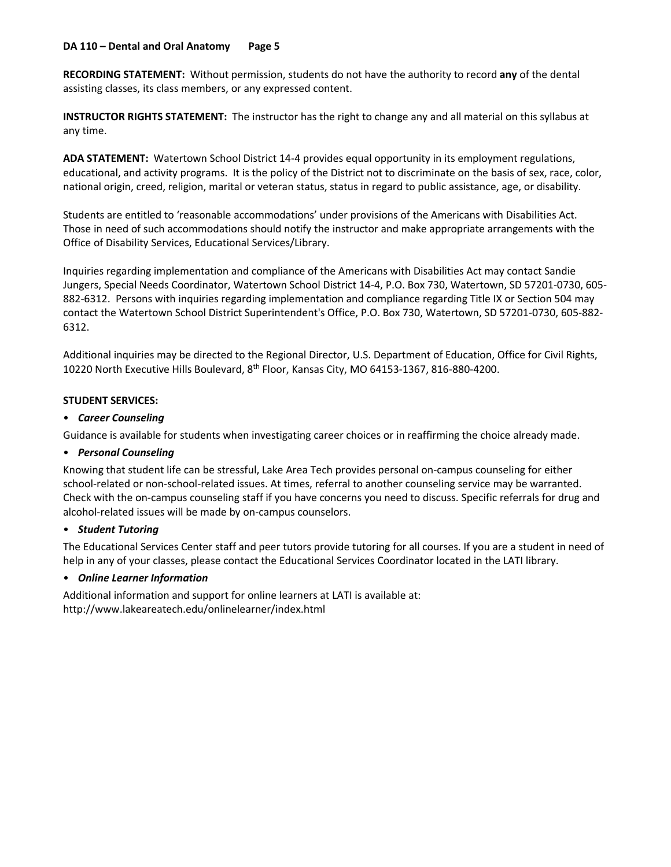#### **DA 110 – Dental and Oral Anatomy Page 5**

**RECORDING STATEMENT:** Without permission, students do not have the authority to record **any** of the dental assisting classes, its class members, or any expressed content.

**INSTRUCTOR RIGHTS STATEMENT:** The instructor has the right to change any and all material on this syllabus at any time.

**ADA STATEMENT:** Watertown School District 14-4 provides equal opportunity in its employment regulations, educational, and activity programs. It is the policy of the District not to discriminate on the basis of sex, race, color, national origin, creed, religion, marital or veteran status, status in regard to public assistance, age, or disability.

Students are entitled to 'reasonable accommodations' under provisions of the Americans with Disabilities Act. Those in need of such accommodations should notify the instructor and make appropriate arrangements with the Office of Disability Services, Educational Services/Library.

Inquiries regarding implementation and compliance of the Americans with Disabilities Act may contact Sandie Jungers, Special Needs Coordinator, Watertown School District 14-4, P.O. Box 730, Watertown, SD 57201-0730, 605- 882-6312. Persons with inquiries regarding implementation and compliance regarding Title IX or Section 504 may contact the Watertown School District Superintendent's Office, P.O. Box 730, Watertown, SD 57201-0730, 605-882- 6312.

Additional inquiries may be directed to the Regional Director, U.S. Department of Education, Office for Civil Rights, 10220 North Executive Hills Boulevard, 8th Floor, Kansas City, MO 64153-1367, 816-880-4200.

#### **STUDENT SERVICES:**

#### • *Career Counseling*

Guidance is available for students when investigating career choices or in reaffirming the choice already made.

#### • *Personal Counseling*

Knowing that student life can be stressful, Lake Area Tech provides personal on-campus counseling for either school-related or non-school-related issues. At times, referral to another counseling service may be warranted. Check with the on-campus counseling staff if you have concerns you need to discuss. Specific referrals for drug and alcohol-related issues will be made by on-campus counselors.

#### • *Student Tutoring*

The Educational Services Center staff and peer tutors provide tutoring for all courses. If you are a student in need of help in any of your classes, please contact the Educational Services Coordinator located in the LATI library.

#### • *Online Learner Information*

Additional information and support for online learners at LATI is available at: http://www.lakeareatech.edu/onlinelearner/index.html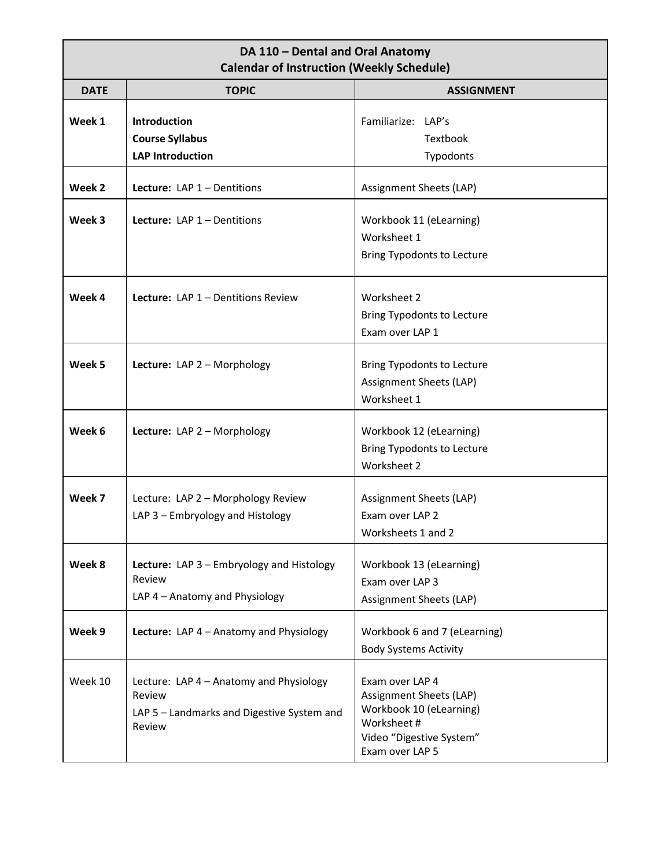# **DA 110 – Dental and Oral Anatomy Calendar of Instruction (Weekly Schedule)**

|             | Calchual of moulaction (Wechiy Scheudic)                                                                  |                                                                                                                                    |
|-------------|-----------------------------------------------------------------------------------------------------------|------------------------------------------------------------------------------------------------------------------------------------|
| <b>DATE</b> | <b>TOPIC</b>                                                                                              | <b>ASSIGNMENT</b>                                                                                                                  |
| Week 1      | Introduction<br><b>Course Syllabus</b><br><b>LAP Introduction</b>                                         | Familiarize: LAP's<br>Textbook<br>Typodonts                                                                                        |
| Week 2      | Lecture: $LAP_1 -$ Dentitions                                                                             | Assignment Sheets (LAP)                                                                                                            |
| Week 3      | Lecture: LAP $1$ – Dentitions                                                                             | Workbook 11 (eLearning)<br>Worksheet 1<br><b>Bring Typodonts to Lecture</b>                                                        |
| Week 4      | Lecture: LAP 1 - Dentitions Review                                                                        | Worksheet 2<br><b>Bring Typodonts to Lecture</b><br>Exam over LAP 1                                                                |
| Week 5      | Lecture: LAP 2 - Morphology                                                                               | <b>Bring Typodonts to Lecture</b><br>Assignment Sheets (LAP)<br>Worksheet 1                                                        |
| Week 6      | Lecture: LAP 2 - Morphology                                                                               | Workbook 12 (eLearning)<br><b>Bring Typodonts to Lecture</b><br>Worksheet 2                                                        |
| Week 7      | Lecture: LAP 2 - Morphology Review<br>LAP 3 - Embryology and Histology                                    | Assignment Sheets (LAP)<br>Exam over LAP 2<br>Worksheets 1 and 2                                                                   |
| Week 8      | <b>Lecture:</b> LAP 3 – Embryology and Histology<br>Review<br>LAP 4 - Anatomy and Physiology              | Workbook 13 (eLearning)<br>Exam over LAP 3<br>Assignment Sheets (LAP)                                                              |
| Week 9      | Lecture: LAP 4 - Anatomy and Physiology                                                                   | Workbook 6 and 7 (eLearning)<br><b>Body Systems Activity</b>                                                                       |
| Week 10     | Lecture: LAP 4 - Anatomy and Physiology<br>Review<br>LAP 5 - Landmarks and Digestive System and<br>Review | Exam over LAP 4<br>Assignment Sheets (LAP)<br>Workbook 10 (eLearning)<br>Worksheet#<br>Video "Digestive System"<br>Exam over LAP 5 |